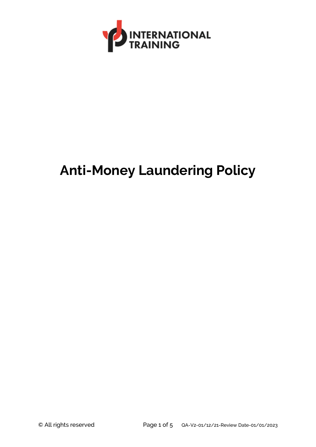

# **Anti-Money Laundering Policy**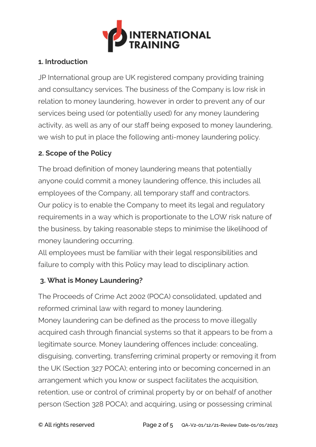

## **1. Introduction**

JP International group are UK registered company providing training and consultancy services. The business of the Company is low risk in relation to money laundering, however in order to prevent any of our services being used (or potentially used) for any money laundering activity, as well as any of our staff being exposed to money laundering, we wish to put in place the following anti-money laundering policy.

## **2. Scope of the Policy**

The broad definition of money laundering means that potentially anyone could commit a money laundering offence, this includes all employees of the Company, all temporary staff and contractors. Our policy is to enable the Company to meet its legal and regulatory requirements in a way which is proportionate to the LOW risk nature of the business, by taking reasonable steps to minimise the likelihood of money laundering occurring.

All employees must be familiar with their legal responsibilities and failure to comply with this Policy may lead to disciplinary action.

## **3. What is Money Laundering?**

The Proceeds of Crime Act 2002 (POCA) consolidated, updated and reformed criminal law with regard to money laundering. Money laundering can be defined as the process to move illegally acquired cash through financial systems so that it appears to be from a legitimate source. Money laundering offences include: concealing, disguising, converting, transferring criminal property or removing it from the UK (Section 327 POCA); entering into or becoming concerned in an arrangement which you know or suspect facilitates the acquisition, retention, use or control of criminal property by or on behalf of another person (Section 328 POCA); and acquiring, using or possessing criminal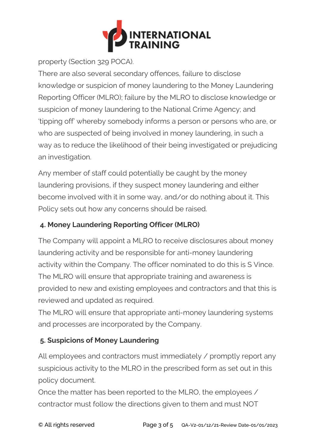

property (Section 329 POCA).

There are also several secondary offences, failure to disclose knowledge or suspicion of money laundering to the Money Laundering Reporting Officer (MLRO); failure by the MLRO to disclose knowledge or suspicion of money laundering to the National Crime Agency; and 'tipping off' whereby somebody informs a person or persons who are, or who are suspected of being involved in money laundering, in such a way as to reduce the likelihood of their being investigated or prejudicing an investigation.

Any member of staff could potentially be caught by the money laundering provisions, if they suspect money laundering and either become involved with it in some way, and/or do nothing about it. This Policy sets out how any concerns should be raised.

# **4. Money Laundering Reporting Officer (MLRO)**

The Company will appoint a MLRO to receive disclosures about money laundering activity and be responsible for anti-money laundering activity within the Company. The officer nominated to do this is S Vince. The MLRO will ensure that appropriate training and awareness is provided to new and existing employees and contractors and that this is reviewed and updated as required.

The MLRO will ensure that appropriate anti-money laundering systems and processes are incorporated by the Company.

# **5. Suspicions of Money Laundering**

All employees and contractors must immediately / promptly report any suspicious activity to the MLRO in the prescribed form as set out in this policy document.

Once the matter has been reported to the MLRO, the employees / contractor must follow the directions given to them and must NOT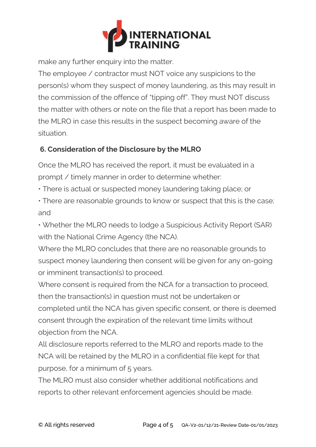

make any further enquiry into the matter.

The employee / contractor must NOT voice any suspicions to the person(s) whom they suspect of money laundering, as this may result in the commission of the offence of "tipping off". They must NOT discuss the matter with others or note on the file that a report has been made to the MLRO in case this results in the suspect becoming aware of the situation.

## **6. Consideration of the Disclosure by the MLRO**

Once the MLRO has received the report, it must be evaluated in a prompt / timely manner in order to determine whether:

• There is actual or suspected money laundering taking place; or

• There are reasonable grounds to know or suspect that this is the case; and

• Whether the MLRO needs to lodge a Suspicious Activity Report (SAR) with the National Crime Agency (the NCA).

Where the MLRO concludes that there are no reasonable grounds to suspect money laundering then consent will be given for any on-going or imminent transaction(s) to proceed.

Where consent is required from the NCA for a transaction to proceed, then the transaction(s) in question must not be undertaken or completed until the NCA has given specific consent, or there is deemed consent through the expiration of the relevant time limits without objection from the NCA.

All disclosure reports referred to the MLRO and reports made to the NCA will be retained by the MLRO in a confidential file kept for that purpose, for a minimum of 5 years.

The MLRO must also consider whether additional notifications and reports to other relevant enforcement agencies should be made.